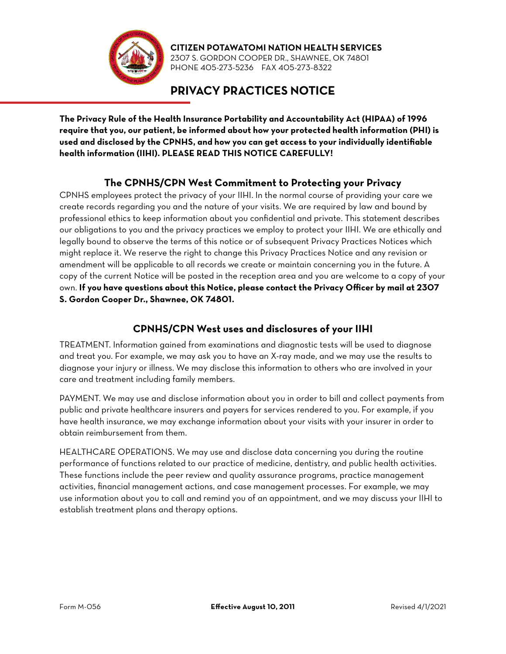

**CITIZEN POTAWATOMI NATION HEALTH SERVICES** 2307 S. GORDON COOPER DR., SHAWNEE, OK 74801 PHONE 405-273-5236 FAX 405-273-8322

# **PRIVACY PRACTICES NOTICE**

**The Privacy Rule of the Health Insurance Portability and Accountability Act (HIPAA) of 1996 require that you, our patient, be informed about how your protected health information (PHI) is used and disclosed by the CPNHS, and how you can get access to your individually identifiable health information (IIHI). PLEASE READ THIS NOTICE CAREFULLY!** 

### **The CPNHS/CPN West Commitment to Protecting your Privacy**

CPNHS employees protect the privacy of your IIHI. In the normal course of providing your care we create records regarding you and the nature of your visits. We are required by law and bound by professional ethics to keep information about you confidential and private. This statement describes our obligations to you and the privacy practices we employ to protect your IIHI. We are ethically and legally bound to observe the terms of this notice or of subsequent Privacy Practices Notices which might replace it. We reserve the right to change this Privacy Practices Notice and any revision or amendment will be applicable to all records we create or maintain concerning you in the future. A copy of the current Notice will be posted in the reception area and you are welcome to a copy of your own. **If you have questions about this Notice, please contact the Privacy Officer by mail at 2307 S. Gordon Cooper Dr., Shawnee, OK 74801.** 

#### **CPNHS/CPN West uses and disclosures of your IIHI**

TREATMENT. Information gained from examinations and diagnostic tests will be used to diagnose and treat you. For example, we may ask you to have an X-ray made, and we may use the results to diagnose your injury or illness. We may disclose this information to others who are involved in your care and treatment including family members.

PAYMENT. We may use and disclose information about you in order to bill and collect payments from public and private healthcare insurers and payers for services rendered to you. For example, if you have health insurance, we may exchange information about your visits with your insurer in order to obtain reimbursement from them.

HEALTHCARE OPERATIONS. We may use and disclose data concerning you during the routine performance of functions related to our practice of medicine, dentistry, and public health activities. These functions include the peer review and quality assurance programs, practice management activities, financial management actions, and case management processes. For example, we may use information about you to call and remind you of an appointment, and we may discuss your IIHI to establish treatment plans and therapy options.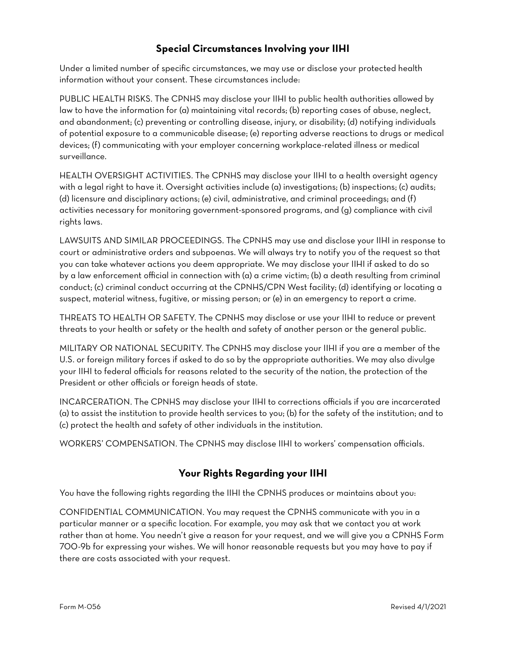#### **Special Circumstances Involving your IIHI**

Under a limited number of specific circumstances, we may use or disclose your protected health information without your consent. These circumstances include:

PUBLIC HEALTH RISKS. The CPNHS may disclose your IIHI to public health authorities allowed by law to have the information for (a) maintaining vital records; (b) reporting cases of abuse, neglect, and abandonment; (c) preventing or controlling disease, injury, or disability; (d) notifying individuals of potential exposure to a communicable disease; (e) reporting adverse reactions to drugs or medical devices; (f) communicating with your employer concerning workplace-related illness or medical surveillance.

HEALTH OVERSIGHT ACTIVITIES. The CPNHS may disclose your IIHI to a health oversight agency with a legal right to have it. Oversight activities include (a) investigations; (b) inspections; (c) audits; (d) licensure and disciplinary actions; (e) civil, administrative, and criminal proceedings; and (f) activities necessary for monitoring government-sponsored programs, and (g) compliance with civil rights laws.

LAWSUITS AND SIMILAR PROCEEDINGS. The CPNHS may use and disclose your IIHI in response to court or administrative orders and subpoenas. We will always try to notify you of the request so that you can take whatever actions you deem appropriate. We may disclose your IIHI if asked to do so by a law enforcement official in connection with (a) a crime victim; (b) a death resulting from criminal conduct; (c) criminal conduct occurring at the CPNHS/CPN West facility; (d) identifying or locating a suspect, material witness, fugitive, or missing person; or (e) in an emergency to report a crime.

THREATS TO HEALTH OR SAFETY. The CPNHS may disclose or use your IIHI to reduce or prevent threats to your health or safety or the health and safety of another person or the general public.

MILITARY OR NATIONAL SECURITY. The CPNHS may disclose your IIHI if you are a member of the U.S. or foreign military forces if asked to do so by the appropriate authorities. We may also divulge your IIHI to federal officials for reasons related to the security of the nation, the protection of the President or other officials or foreign heads of state.

INCARCERATION. The CPNHS may disclose your IIHI to corrections officials if you are incarcerated (a) to assist the institution to provide health services to you; (b) for the safety of the institution; and to (c) protect the health and safety of other individuals in the institution.

WORKERS' COMPENSATION. The CPNHS may disclose IIHI to workers' compensation officials.

#### **Your Rights Regarding your IIHI**

You have the following rights regarding the IIHI the CPNHS produces or maintains about you:

CONFIDENTIAL COMMUNICATION. You may request the CPNHS communicate with you in a particular manner or a specific location. For example, you may ask that we contact you at work rather than at home. You needn't give a reason for your request, and we will give you a CPNHS Form 700-9b for expressing your wishes. We will honor reasonable requests but you may have to pay if there are costs associated with your request.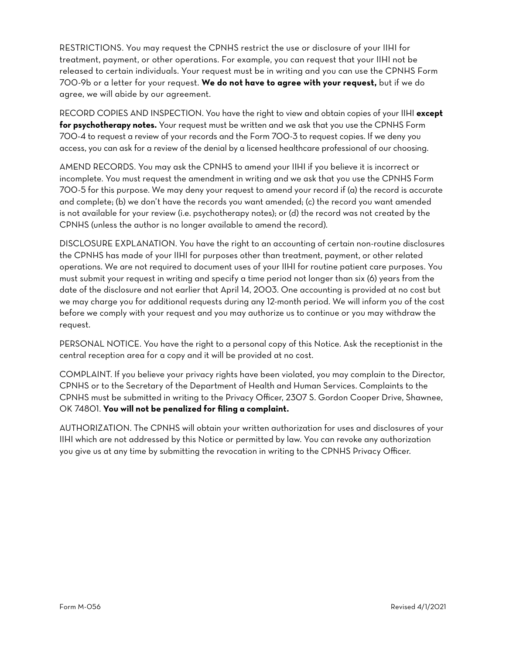RESTRICTIONS. You may request the CPNHS restrict the use or disclosure of your IIHI for treatment, payment, or other operations. For example, you can request that your IIHI not be released to certain individuals. Your request must be in writing and you can use the CPNHS Form 700-9b or a letter for your request. **We do not have to agree with your request,** but if we do agree, we will abide by our agreement.

RECORD COPIES AND INSPECTION. You have the right to view and obtain copies of your IIHI **except for psychotherapy notes.** Your request must be written and we ask that you use the CPNHS Form 700-4 to request a review of your records and the Form 700-3 to request copies. If we deny you access, you can ask for a review of the denial by a licensed healthcare professional of our choosing.

AMEND RECORDS. You may ask the CPNHS to amend your IIHI if you believe it is incorrect or incomplete. You must request the amendment in writing and we ask that you use the CPNHS Form 700-5 for this purpose. We may deny your request to amend your record if (a) the record is accurate and complete; (b) we don't have the records you want amended; (c) the record you want amended is not available for your review (i.e. psychotherapy notes); or (d) the record was not created by the CPNHS (unless the author is no longer available to amend the record).

DISCLOSURE EXPLANATION. You have the right to an accounting of certain non-routine disclosures the CPNHS has made of your IIHI for purposes other than treatment, payment, or other related operations. We are not required to document uses of your IIHI for routine patient care purposes. You must submit your request in writing and specify a time period not longer than six (6) years from the date of the disclosure and not earlier that April 14, 2003. One accounting is provided at no cost but we may charge you for additional requests during any 12-month period. We will inform you of the cost before we comply with your request and you may authorize us to continue or you may withdraw the request.

PERSONAL NOTICE. You have the right to a personal copy of this Notice. Ask the receptionist in the central reception area for a copy and it will be provided at no cost.

COMPLAINT. If you believe your privacy rights have been violated, you may complain to the Director, CPNHS or to the Secretary of the Department of Health and Human Services. Complaints to the CPNHS must be submitted in writing to the Privacy Officer, 2307 S. Gordon Cooper Drive, Shawnee, OK 74801. **You will not be penalized for filing a complaint.**

AUTHORIZATION. The CPNHS will obtain your written authorization for uses and disclosures of your IIHI which are not addressed by this Notice or permitted by law. You can revoke any authorization you give us at any time by submitting the revocation in writing to the CPNHS Privacy Officer.